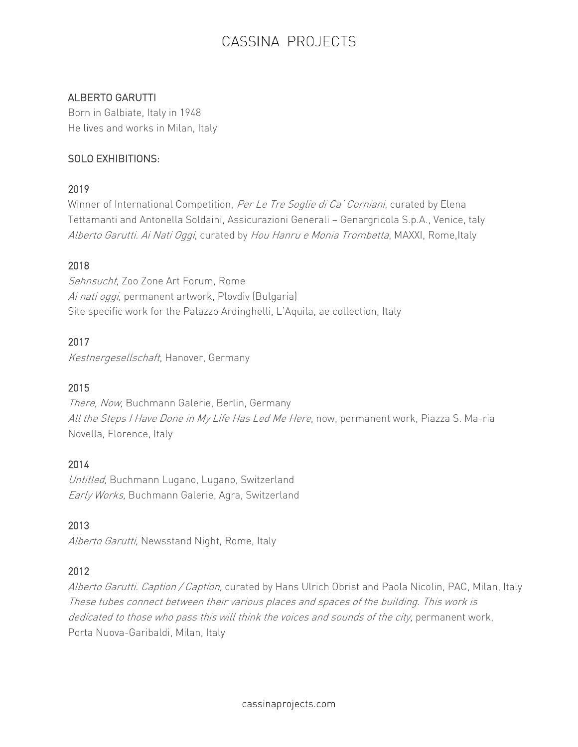## ALBERTO GARUTTI

Born in Galbiate, Italy in 1948 He lives and works in Milan, Italy

## SOLO EXHIBITIONS:

#### 2019

Winner of International Competition, Per Le Tre Soglie di Ca' Corniani, curated by Elena Tettamanti and Antonella Soldaini, Assicurazioni Generali — Genargricola S.p.A., Venice, taly Alberto Garutti. Ai Nati Oggi, curated by Hou Hanru e Monia Trombetta, MAXXI, Rome, Italy

## 2018

Sehnsucht, Zoo Zone Art Forum, Rome Ai nati oggi, permanent artwork, Plovdiv (Bulgaria) Site specific work for the Palazzo Ardinghelli, L'Aquila, ae collection, Italy

#### 2017

Kestnergesellschaft, Hanover, Germany

## 2015

There, Now, Buchmann Galerie, Berlin, Germany All the Steps I Have Done in My Life Has Led Me Here, now, permanent work, Piazza S. Ma-ria Novella, Florence, Italy

## 2014

Untitled, Buchmann Lugano, Lugano, Switzerland Early Works, Buchmann Galerie, Agra, Switzerland

## 2013

Alberto Garutti, Newsstand Night, Rome, Italy

## 2012

Alberto Garutti. Caption / Caption, curated by Hans Ulrich Obrist and Paola Nicolin, PAC, Milan, Italy These tubes connect between their various places and spaces of the building. This work is dedicated to those who pass this will think the voices and sounds of the city, permanent work, Porta Nuova-Garibaldi, Milan, Italy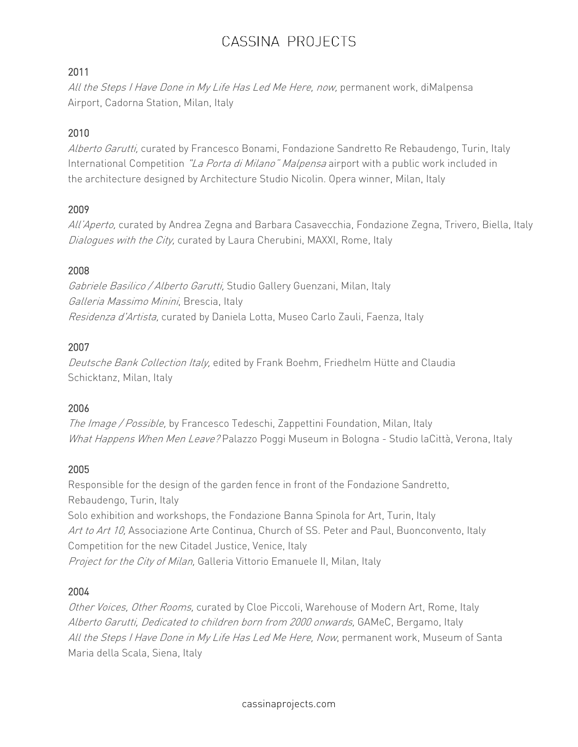## 2011

All the Steps I Have Done in My Life Has Led Me Here, now, permanent work, diMalpensa Airport, Cadorna Station, Milan, Italy

## 2010

Alberto Garutti, curated by Francesco Bonami, Fondazione Sandretto Re Rebaudengo, Turin, Italy International Competition "La Porta di Milano" Malpensa airport with a public work included in the architecture designed by Architecture Studio Nicolin. Opera winner, Milan, Italy

## 2009

All'Aperto, curated by Andrea Zegna and Barbara Casavecchia, Fondazione Zegna, Trivero, Biella, Italy Dialoques with the City, curated by Laura Cherubini, MAXXI, Rome, Italy

## 2008

Gabriele Basilico / Alberto Garutti, Studio Gallery Guenzani, Milan, Italy Galleria Massimo Minini, Brescia, Italy Residenza d'Artista, curated by Daniela Lotta, Museo Carlo Zauli, Faenza, Italy

## 2007

Deutsche Bank Collection Italy, edited by Frank Boehm, Friedhelm Hütte and Claudia Schicktanz, Milan, Italy

## 2006

The Image / Possible, by Francesco Tedeschi, Zappettini Foundation, Milan, Italy What Happens When Men Leave? Palazzo Poggi Museum in Bologna - Studio laCittà, Verona, Italy

## 2005

Responsible for the design of the garden fence in front of the Fondazione Sandretto, Rebaudengo, Turin, Italy Solo exhibition and workshops, the Fondazione Banna Spinola for Art, Turin, Italy Art to Art 10, Associazione Arte Continua, Church of SS. Peter and Paul, Buonconvento, Italy Competition for the new Citadel Justice, Venice, Italy Project for the City of Milan, Galleria Vittorio Emanuele II, Milan, Italy

## 2004

Other Voices, Other Rooms, curated by Cloe Piccoli, Warehouse of Modern Art, Rome, Italy Alberto Garutti, Dedicated to children born from 2000 onwards, GAMeC, Bergamo, Italy All the Steps I Have Done in My Life Has Led Me Here, Now, permanent work, Museum of Santa Maria della Scala, Siena, Italy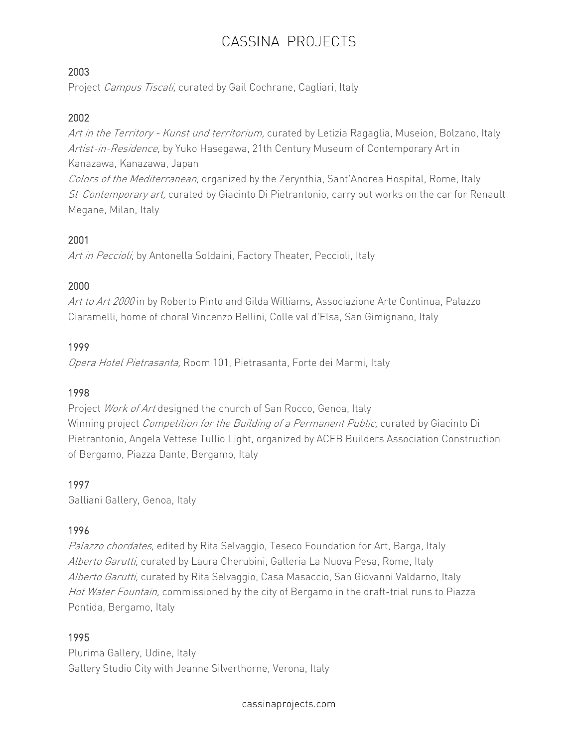## 2003

Project Campus Tiscali, curated by Gail Cochrane, Cagliari, Italy

#### 2002

Art in the Territory - Kunst und territorium, curated by Letizia Ragaglia, Museion, Bolzano, Italy Artist-in-Residence, by Yuko Hasegawa, 21th Century Museum of Contemporary Art in Kanazawa, Kanazawa, Japan Colors of the Mediterranean, organized by the Zerynthia, Sant'Andrea Hospital, Rome, Italy

St-Contemporary art, curated by Giacinto Di Pietrantonio, carry out works on the car for Renault Megane, Milan, Italy

## 2001

Art in Peccioli, by Antonella Soldaini, Factory Theater, Peccioli, Italy

## 2000

Art to Art 2000 in by Roberto Pinto and Gilda Williams, Associazione Arte Continua, Palazzo Ciaramelli, home of choral Vincenzo Bellini, Colle val d'Elsa, San Gimignano, Italy

#### 1999

Opera Hotel Pietrasanta, Room 101, Pietrasanta, Forte dei Marmi, Italy

#### 1998

Project Work of Art designed the church of San Rocco, Genoa, Italy Winning project *Competition for the Building of a Permanent Public*, curated by Giacinto Di Pietrantonio, Angela Vettese Tullio Light, organized by ACEB Builders Association Construction of Bergamo, Piazza Dante, Bergamo, Italy

## 1997

Galliani Gallery, Genoa, Italy

## 1996

Palazzo chordates, edited by Rita Selvaggio, Teseco Foundation for Art, Barga, Italy Alberto Garutti, curated by Laura Cherubini, Galleria La Nuova Pesa, Rome, Italy Alberto Garutti, curated by Rita Selvaggio, Casa Masaccio, San Giovanni Valdarno, Italy Hot Water Fountain, commissioned by the city of Bergamo in the draft-trial runs to Piazza Pontida, Bergamo, Italy

#### 1995

Plurima Gallery, Udine, Italy Gallery Studio City with Jeanne Silverthorne, Verona, Italy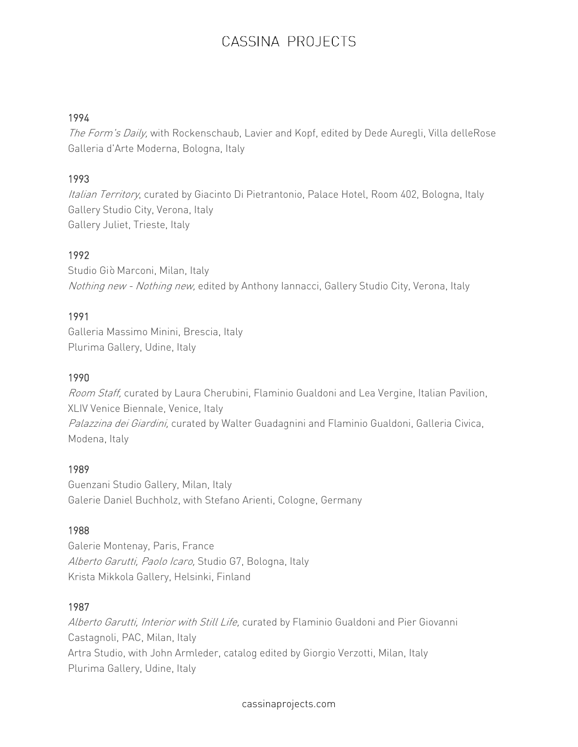#### 1994

The Form's Daily, with Rockenschaub, Lavier and Kopf, edited by Dede Auregli, Villa delleRose Galleria d'Arte Moderna, Bologna, Italy

## 1993

Italian Territory, curated by Giacinto Di Pietrantonio, Palace Hotel, Room 402, Bologna, Italy Gallery Studio City, Verona, Italy Gallery Juliet, Trieste, Italy

## 1992

Studio Giò Marconi, Milan, Italy Nothing new - Nothing new, edited by Anthony Iannacci, Gallery Studio City, Verona, Italy

#### 1991

Galleria Massimo Minini, Brescia, Italy Plurima Gallery, Udine, Italy

#### 1990

Room Staff, curated by Laura Cherubini, Flaminio Gualdoni and Lea Vergine, Italian Pavilion, XLIV Venice Biennale, Venice, Italy Palazzina dei Giardini, curated by Walter Guadagnini and Flaminio Gualdoni, Galleria Civica, Modena, Italy

#### 1989

Guenzani Studio Gallery, Milan, Italy Galerie Daniel Buchholz, with Stefano Arienti, Cologne, Germany

#### 1988

Galerie Montenay, Paris, France Alberto Garutti, Paolo Icaro, Studio G7, Bologna, Italy Krista Mikkola Gallery, Helsinki, Finland

#### 1987

Alberto Garutti, Interior with Still Life, curated by Flaminio Gualdoni and Pier Giovanni Castagnoli, PAC, Milan, Italy Artra Studio, with John Armleder, catalog edited by Giorgio Verzotti, Milan, Italy Plurima Gallery, Udine, Italy

cassinaprojects.com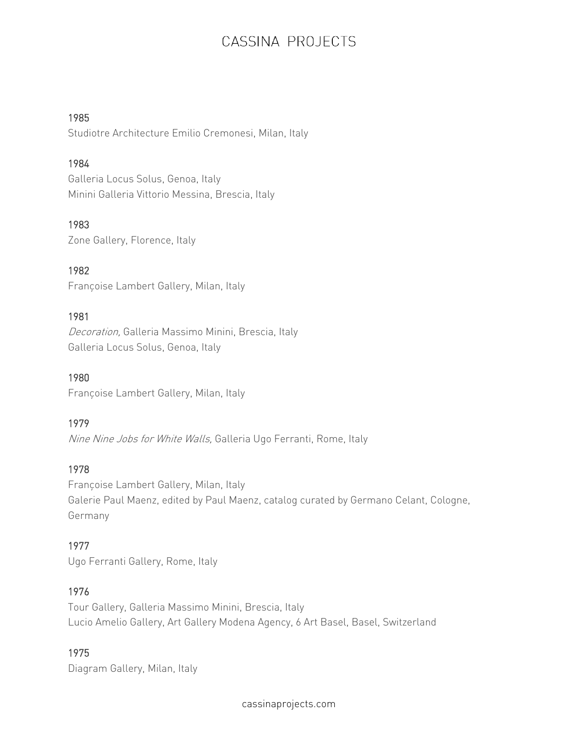#### 1985

Studiotre Architecture Emilio Cremonesi, Milan, Italy

## 1984

Galleria Locus Solus, Genoa, Italy Minini Galleria Vittorio Messina, Brescia, Italy

## 1983

Zone Gallery, Florence, Italy

1982 Françoise Lambert Gallery, Milan, Italy

# 1981

Decoration, Galleria Massimo Minini, Brescia, Italy Galleria Locus Solus, Genoa, Italy

1980 Françoise Lambert Gallery, Milan, Italy

# 1979

Nine Nine Jobs for White Walls, Galleria Ugo Ferranti, Rome, Italy

# 1978

Françoise Lambert Gallery, Milan, Italy Galerie Paul Maenz, edited by Paul Maenz, catalog curated by Germano Celant, Cologne, Germany

# 1977

Ugo Ferranti Gallery, Rome, Italy

# 1976

Tour Gallery, Galleria Massimo Minini, Brescia, Italy Lucio Amelio Gallery, Art Gallery Modena Agency, 6 Art Basel, Basel, Switzerland

# 1975

Diagram Gallery, Milan, Italy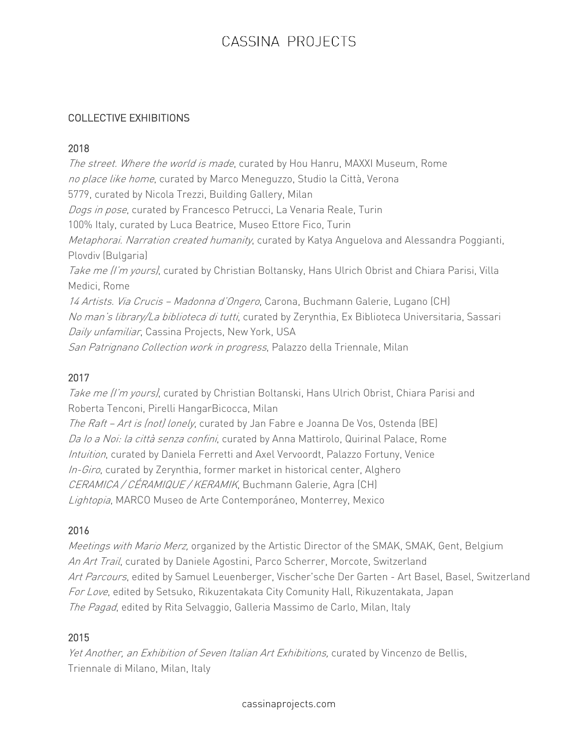#### COLLECTIVE EXHIBITIONS

#### 2018

The street. Where the world is made, curated by Hou Hanru, MAXXI Museum, Rome no place like home, curated by Marco Meneguzzo, Studio la Città, Verona 5779, curated by Nicola Trezzi, Building Gallery, Milan Dogs in pose, curated by Francesco Petrucci, La Venaria Reale, Turin 100% Italy, curated by Luca Beatrice, Museo Ettore Fico, Turin Metaphorai. Narration created humanity, curated by Katya Anguelova and Alessandra Poggianti, Plovdiv (Bulgaria) Take me (I'm yours), curated by Christian Boltansky, Hans Ulrich Obrist and Chiara Parisi, Villa Medici, Rome 14 Artists. Via Crucis - Madonna d'Ongero, Carona, Buchmann Galerie, Lugano (CH) No man's library/La biblioteca di tutti, curated by Zerynthia, Ex Biblioteca Universitaria, Sassari Daily unfamiliar, Cassina Projects, New York, USA San Patrignano Collection work in progress, Palazzo della Triennale, Milan

## 2017

Take me (I'm yours), curated by Christian Boltanski, Hans Ulrich Obrist, Chiara Parisi and Roberta Tenconi, Pirelli HangarBicocca, Milan

The Raft - Art is (not) lonely, curated by Jan Fabre e Joanna De Vos, Ostenda (BE) Da Io a Noi: la città senza confini, curated by Anna Mattirolo, Quirinal Palace, Rome Intuition, curated by Daniela Ferretti and Axel Vervoordt, Palazzo Fortuny, Venice In-Giro, curated by Zerynthia, former market in historical center, Alghero CERAMICA / CÉRAMIQUE / KERAMIK, Buchmann Galerie, Agra (CH) Lightopia, MARCO Museo de Arte Contemporáneo, Monterrey, Mexico

## 2016

Meetings with Mario Merz, organized by the Artistic Director of the SMAK, SMAK, Gent, Belgium An Art Trail, curated by Daniele Agostini, Parco Scherrer, Morcote, Switzerland Art Parcours, edited by Samuel Leuenberger, Vischer'sche Der Garten - Art Basel, Basel, Switzerland For Love, edited by Setsuko, Rikuzentakata City Comunity Hall, Rikuzentakata, Japan The Pagad, edited by Rita Selvaggio, Galleria Massimo de Carlo, Milan, Italy

#### 2015

Yet Another, an Exhibition of Seven Italian Art Exhibitions, curated by Vincenzo de Bellis, Triennale di Milano, Milan, Italy

cassinaprojects.com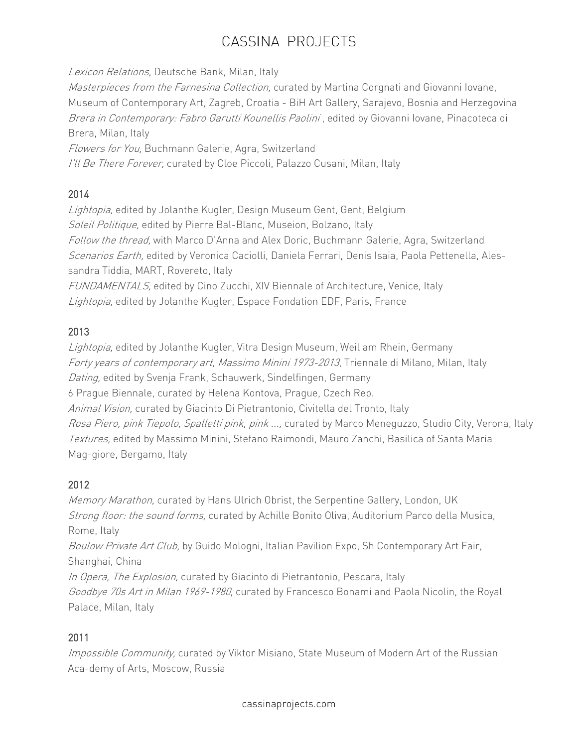Lexicon Relations, Deutsche Bank, Milan, Italy Masterpieces from the Farnesina Collection, curated by Martina Corgnati and Giovanni Iovane, Museum of Contemporary Art, Zagreb, Croatia - BiH Art Gallery, Sarajevo, Bosnia and Herzegovina Brera in Contemporary: Fabro Garutti Kounellis Paolini, edited by Giovanni Iovane, Pinacoteca di Brera, Milan, Italy Flowers for You, Buchmann Galerie, Agra, Switzerland I'll Be There Forever, curated by Cloe Piccoli, Palazzo Cusani, Milan, Italy

# 2014

Lightopia, edited by Jolanthe Kugler, Design Museum Gent, Gent, Belgium Soleil Politique, edited by Pierre Bal-Blanc, Museion, Bolzano, Italy Follow the thread, with Marco D'Anna and Alex Doric, Buchmann Galerie, Agra, Switzerland Scenarios Earth, edited by Veronica Caciolli, Daniela Ferrari, Denis Isaia, Paola Pettenella, Alessandra Tiddia, MART, Rovereto, Italy FUNDAMENTALS, edited by Cino Zucchi, XIV Biennale of Architecture, Venice, Italy Lightopia, edited by Jolanthe Kugler, Espace Fondation EDF, Paris, France

# 2013

Lightopia, edited by Jolanthe Kugler, Vitra Design Museum, Weil am Rhein, Germany Forty years of contemporary art, Massimo Minini 1973-2013, Triennale di Milano, Milan, Italy Dating, edited by Svenja Frank, Schauwerk, Sindelfingen, Germany 6 Prague Biennale, curated by Helena Kontova, Prague, Czech Rep. Animal Vision, curated by Giacinto Di Pietrantonio, Civitella del Tronto, Italy Rosa Piero, pink Tiepolo, Spalletti pink, pink ..., curated by Marco Meneguzzo, Studio City, Verona, Italy Textures, edited by Massimo Minini, Stefano Raimondi, Mauro Zanchi, Basilica of Santa Maria Mag-giore, Bergamo, Italy

# 2012

Memory Marathon, curated by Hans Ulrich Obrist, the Serpentine Gallery, London, UK Strong floor: the sound forms, curated by Achille Bonito Oliva, Auditorium Parco della Musica, Rome, Italy Boulow Private Art Club, by Guido Mologni, Italian Pavilion Expo, Sh Contemporary Art Fair, Shanghai, China In Opera, The Explosion, curated by Giacinto di Pietrantonio, Pescara, Italy Goodbye 70s Art in Milan 1969-1980, curated by Francesco Bonami and Paola Nicolin, the Royal Palace, Milan, Italy

# 2011

Impossible Community, curated by Viktor Misiano, State Museum of Modern Art of the Russian Aca-demy of Arts, Moscow, Russia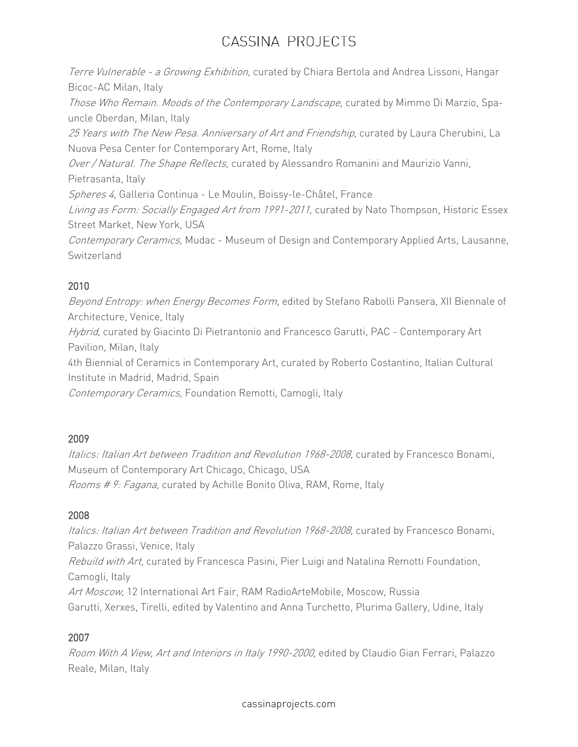Terre Vulnerable - a Growing Exhibition, curated by Chiara Bertola and Andrea Lissoni, Hangar Bicoc-AC Milan, Italy Those Who Remain. Moods of the Contemporary Landscape, curated by Mimmo Di Marzio, Spauncle Oberdan, Milan, Italy 25 Years with The New Pesa. Anniversary of Art and Friendship, curated by Laura Cherubini, La Nuova Pesa Center for Contemporary Art, Rome, Italy Over / Natural. The Shape Reflects, curated by Alessandro Romanini and Maurizio Vanni, Pietrasanta, Italy Spheres 4, Galleria Continua - Le Moulin, Boissy-le-Châtel, France Living as Form: Socially Engaged Art from 1991-2011, curated by Nato Thompson, Historic Essex Street Market, New York, USA Contemporary Ceramics, Mudac - Museum of Design and Contemporary Applied Arts, Lausanne, Switzerland

# 2010

Beyond Entropy: when Energy Becomes Form, edited by Stefano Rabolli Pansera, XII Biennale of Architecture, Venice, Italy Hybrid, curated by Giacinto Di Pietrantonio and Francesco Garutti, PAC - Contemporary Art Pavilion, Milan, Italy 4th Biennial of Ceramics in Contemporary Art, curated by Roberto Costantino, Italian Cultural Institute in Madrid, Madrid, Spain Contemporary Ceramics, Foundation Remotti, Camogli, Italy

# 2009

Italics: Italian Art between Tradition and Revolution 1968-2008, curated by Francesco Bonami, Museum of Contemporary Art Chicago, Chicago, USA Rooms # 9: Fagana, curated by Achille Bonito Oliva, RAM, Rome, Italy

# 2008

Italics: Italian Art between Tradition and Revolution 1968-2008, curated by Francesco Bonami, Palazzo Grassi, Venice, Italy Rebuild with Art, curated by Francesca Pasini, Pier Luigi and Natalina Remotti Foundation, Camogli, Italy Art Moscow, 12 International Art Fair, RAM RadioArteMobile, Moscow, Russia Garutti, Xerxes, Tirelli, edited by Valentino and Anna Turchetto, Plurima Gallery, Udine, Italy

# 2007

Room With A View, Art and Interiors in Italy 1990-2000, edited by Claudio Gian Ferrari, Palazzo Reale, Milan, Italy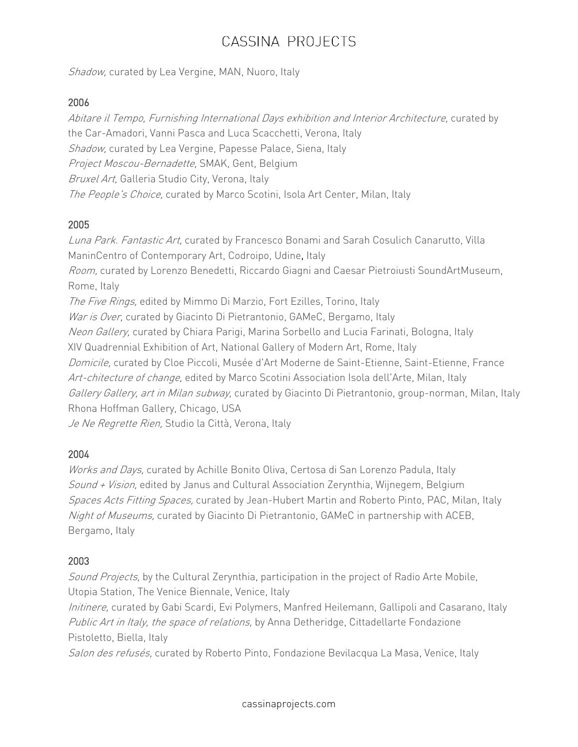Shadow, curated by Lea Vergine, MAN, Nuoro, Italy

#### 2006

Abitare il Tempo, Furnishing International Days exhibition and Interior Architecture, curated by the Car-Amadori, Vanni Pasca and Luca Scacchetti, Verona, Italy Shadow, curated by Lea Vergine, Papesse Palace, Siena, Italy Project Moscou-Bernadette, SMAK, Gent, Belgium Bruxel Art, Galleria Studio City, Verona, Italy The People's Choice, curated by Marco Scotini, Isola Art Center, Milan, Italy

#### 2005

Luna Park. Fantastic Art, curated by Francesco Bonami and Sarah Cosulich Canarutto, Villa ManinCentro of Contemporary Art, Codroipo, Udine, Italy Room, curated by Lorenzo Benedetti, Riccardo Giagni and Caesar Pietroiusti SoundArtMuseum, Rome, Italy The Five Rings, edited by Mimmo Di Marzio, Fort Ezilles, Torino, Italy War is Over, curated by Giacinto Di Pietrantonio, GAMeC, Bergamo, Italy Neon Gallery, curated by Chiara Parigi, Marina Sorbello and Lucia Farinati, Bologna, Italy XIV Quadrennial Exhibition of Art, National Gallery of Modern Art, Rome, Italy Domicile, curated by Cloe Piccoli, Musée d'Art Moderne de Saint-Etienne, Saint-Etienne, France Art-chitecture of change, edited by Marco Scotini Association Isola dell'Arte, Milan, Italy Gallery Gallery, art in Milan subway, curated by Giacinto Di Pietrantonio, group-norman, Milan, Italy Rhona Hoffman Gallery, Chicago, USA Je Ne Regrette Rien, Studio la Città, Verona, Italy

## 2004

Works and Days, curated by Achille Bonito Oliva, Certosa di San Lorenzo Padula, Italy Sound <sup>+</sup> Vision, edited by Janus and Cultural Association Zerynthia, Wijnegem, Belgium Spaces Acts Fitting Spaces, curated by Jean-Hubert Martin and Roberto Pinto, PAC, Milan, Italy Night of Museums, curated by Giacinto Di Pietrantonio, GAMeC in partnership with ACEB, Bergamo, Italy

## 2003

Sound Projects, by the Cultural Zerynthia, participation in the project of Radio Arte Mobile, Utopia Station, The Venice Biennale, Venice, Italy

Initinere, curated by Gabi Scardi, Evi Polymers, Manfred Heilemann, Gallipoli and Casarano, Italy Public Art in Italy, the space of relations, by Anna Detheridge, Cittadellarte Fondazione Pistoletto, Biella, Italy

Salon des refusés, curated by Roberto Pinto, Fondazione Bevilacqua La Masa, Venice, Italy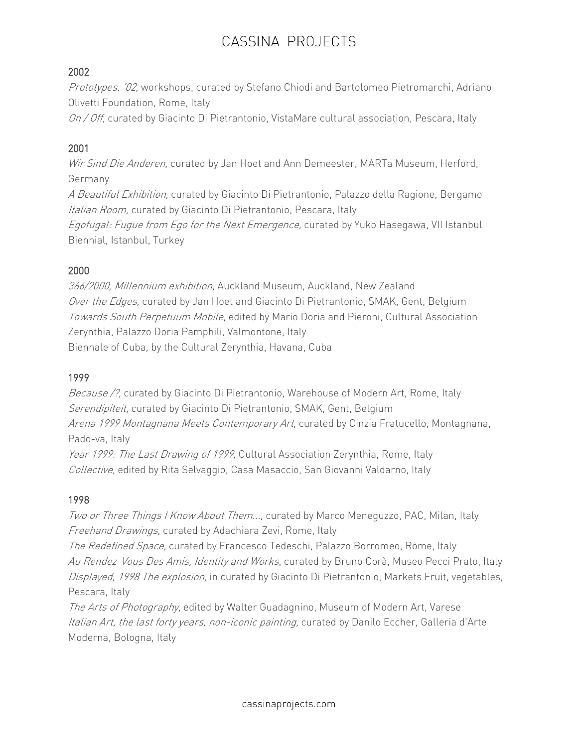## 2002

Prototypes. '02, workshops, curated by Stefano Chiodi and Bartolomeo Pietromarchi, Adriano Olivetti Foundation, Rome, Italy

On / Off, curated by Giacinto Di Pietrantonio, VistaMare cultural association, Pescara, Italy

# 2001

Wir Sind Die Anderen, curated by Jan Hoet and Ann Demeester, MARTa Museum, Herford, Germany

A Beautiful Exhibition, curated by Giacinto Di Pietrantonio, Palazzo della Ragione, Bergamo Italian Room, curated by Giacinto Di Pietrantonio, Pescara, Italy

Egofugal: Fugue from Ego for the Next Emergence, curated by Yuko Hasegawa, VII Istanbul Biennial, Istanbul, Turkey

## 2000

366/2000, Millennium exhibition, Auckland Museum, Auckland, New Zealand Over the Edges, curated by Jan Hoet and Giacinto Di Pietrantonio, SMAK, Gent, Belgium Towards South Perpetuum Mobile, edited by Mario Doria and Pieroni, Cultural Association Zerynthia, Palazzo Doria Pamphili, Valmontone, Italy Biennale of Cuba, by the Cultural Zerynthia, Havana, Cuba

## 1999

Because /?, curated by Giacinto Di Pietrantonio, Warehouse of Modern Art, Rome, Italy Serendipiteit, curated by Giacinto Di Pietrantonio, SMAK, Gent, Belgium Arena 1999 Montagnana Meets Contemporary Art, curated by Cinzia Fratucello, Montagnana, Pado-va, Italy Year 1999: The Last Drawing of 1999, Cultural Association Zerynthia, Rome, Italy

Collective, edited by Rita Selvaggio, Casa Masaccio, San Giovanni Valdarno, Italy

## 1998

Two or Three Things I Know About Them..., curated by Marco Menequzzo, PAC, Milan, Italy Freehand Drawings, curated by Adachiara Zevi, Rome, Italy

The Redefined Space, curated by Francesco Tedeschi, Palazzo Borromeo, Rome, Italy Au Rendez-Vous Des Amis, Identity and Works, curated by Bruno Corà, Museo Pecci Prato, Italy Displayed, 1998 The explosion, in curated by Giacinto Di Pietrantonio, Markets Fruit, vegetables, Pescara, Italy

The Arts of Photography, edited by Walter Guadagnino, Museum of Modern Art, Varese Italian Art, the last forty years, non-iconic painting, curated by Danilo Eccher, Galleria d'Arte Moderna, Bologna, Italy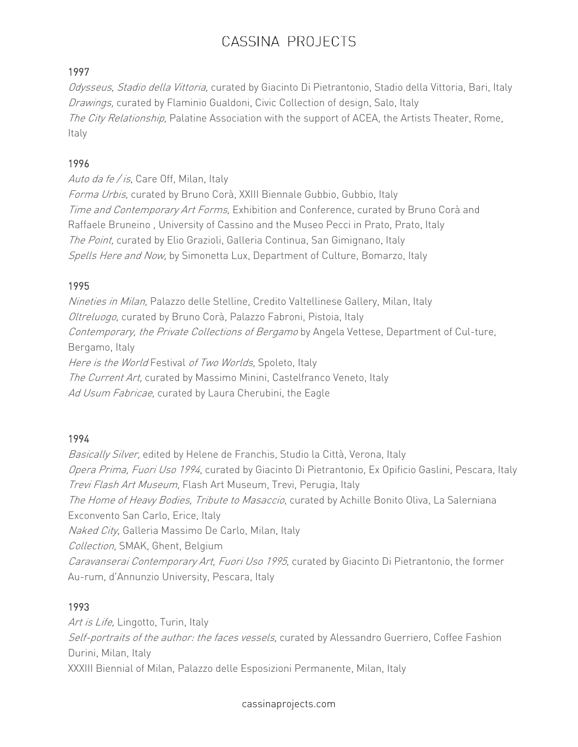## 1997

Odysseus, Stadio della Vittoria, curated by Giacinto Di Pietrantonio, Stadio della Vittoria, Bari, Italy Drawings, curated by Flaminio Gualdoni, Civic Collection of design, Salo, Italy The City Relationship, Palatine Association with the support of ACEA, the Artists Theater, Rome, Italy

## 1996

Auto da fe / is, Care Off, Milan, Italy

Forma Urbis, curated by Bruno Corà, XXIII Biennale Gubbio, Gubbio, Italy Time and Contemporary Art Forms, Exhibition and Conference, curated by Bruno Corà and Raffaele Bruneino , University of Cassino and the Museo Pecci in Prato, Prato, Italy The Point, curated by Elio Grazioli, Galleria Continua, San Gimignano, Italy Spells Here and Now, by Simonetta Lux, Department of Culture, Bomarzo, Italy

## 1995

Nineties in Milan, Palazzo delle Stelline, Credito Valtellinese Gallery, Milan, Italy Oltreluogo, curated by Bruno Corà, Palazzo Fabroni, Pistoia, Italy Contemporary, the Private Collections of Bergamo by Angela Vettese, Department of Cul-ture, Bergamo, Italy Here is the World Festival of Two Worlds, Spoleto, Italy The Current Art, curated by Massimo Minini, Castelfranco Veneto, Italy Ad Usum Fabricae, curated by Laura Cherubini, the Eagle

## 1994

Basically Silver, edited by Helene de Franchis, Studio la Città, Verona, Italy Opera Prima, Fuori Uso 1994, curated by Giacinto Di Pietrantonio, Ex Opificio Gaslini, Pescara, Italy Trevi Flash Art Museum, Flash Art Museum, Trevi, Perugia, Italy The Home of Heavy Bodies, Tribute to Masaccio, curated by Achille Bonito Oliva, La Salerniana Exconvento San Carlo, Erice, Italy Naked City, Galleria Massimo De Carlo, Milan, Italy Collection, SMAK, Ghent, Belgium Caravanserai Contemporary Art, Fuori Uso 1995, curated by Giacinto Di Pietrantonio, the former Au-rum, d'Annunzio University, Pescara, Italy

# 1993

Art is Life, Lingotto, Turin, Italy Self-portraits of the author: the faces vessels, curated by Alessandro Guerriero, Coffee Fashion Durini, Milan, Italy XXXIII Biennial of Milan, Palazzo delle Esposizioni Permanente, Milan, Italy

cassinaprojects.com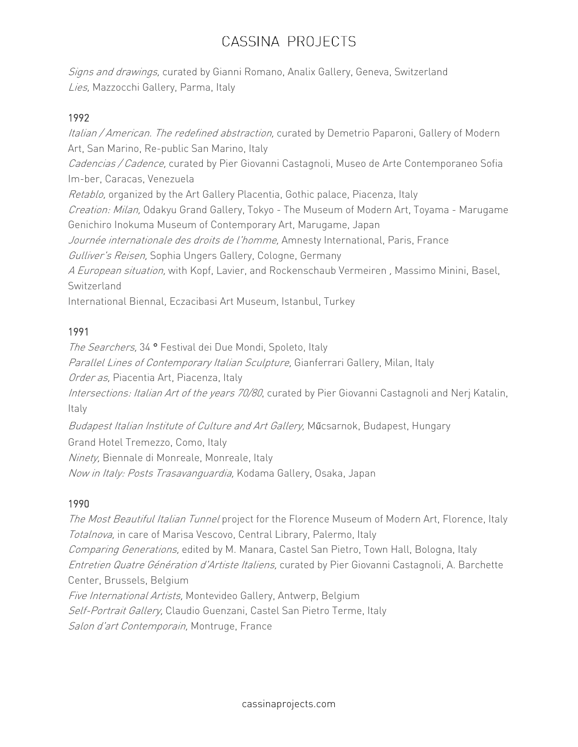Signs and drawings, curated by Gianni Romano, Analix Gallery, Geneva, Switzerland Lies, Mazzocchi Gallery, Parma, Italy

## 1992

Italian / American. The redefined abstraction, curated by Demetrio Paparoni, Gallery of Modern Art, San Marino, Re-public San Marino, Italy Cadencias / Cadence, curated by Pier Giovanni Castagnoli, Museo de Arte Contemporaneo Sofia Im-ber, Caracas, Venezuela Retablo, organized by the Art Gallery Placentia, Gothic palace, Piacenza, Italy Creation: Milan, Odakyu Grand Gallery, Tokyo - The Museum of Modern Art, Toyama - Marugame Genichiro Inokuma Museum of Contemporary Art, Marugame, Japan Journée internationale des droits de l'homme, Amnesty International, Paris, France Gulliver's Reisen, Sophia Ungers Gallery, Cologne, Germany A European situation, with Kopf, Lavier, and Rockenschaub Vermeiren, Massimo Minini, Basel, **Switzerland** International Biennal, Eczacibasi Art Museum, Istanbul, Turkey

## 1991

The Searchers, 34<sup>°</sup> Festival dei Due Mondi, Spoleto, Italy Parallel Lines of Contemporary Italian Sculpture, Gianferrari Gallery, Milan, Italy Order as, Piacentia Art, Piacenza, Italy Intersections: Italian Art of the years 70/80, curated by Pier Giovanni Castagnoli and Nerj Katalin, Italy Budapest Italian Institute of Culture and Art Gallery, Műcsarnok, Budapest, Hungary Grand Hotel Tremezzo, Como, Italy

Ninety, Biennale di Monreale, Monreale, Italy

Now in Italy: Posts Trasavanguardia, Kodama Gallery, Osaka, Japan

# 1990

The Most Beautiful Italian Tunnel project for the Florence Museum of Modern Art, Florence, Italy Totalnova, in care of Marisa Vescovo, Central Library, Palermo, Italy Comparing Generations, edited by M. Manara, Castel San Pietro, Town Hall, Bologna, Italy Entretien Quatre Génération d'Artiste Italiens, curated by Pier Giovanni Castagnoli, A. Barchette Center, Brussels, Belgium Five International Artists, Montevideo Gallery, Antwerp, Belgium Self-Portrait Gallery, Claudio Guenzani, Castel San Pietro Terme, Italy Salon d'art Contemporain, Montruge, France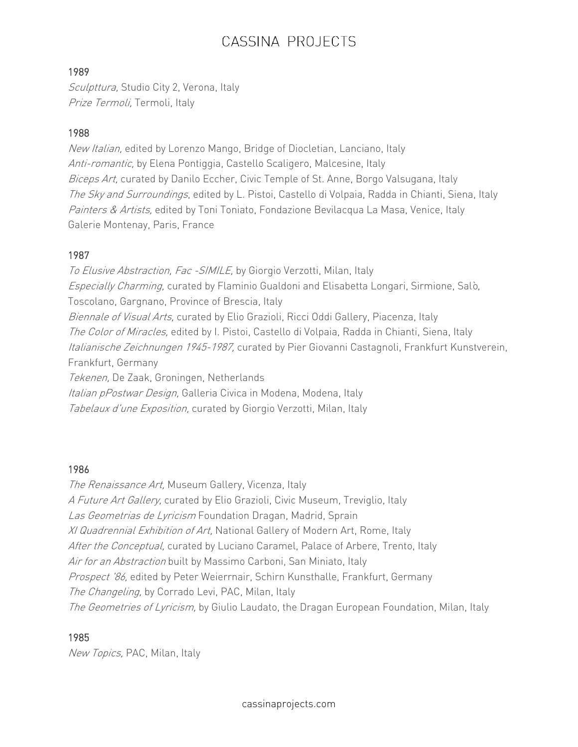## 1989

Sculpttura, Studio City 2, Verona, Italy Prize Termoli, Termoli, Italy

## 1988

New Italian, edited by Lorenzo Mango, Bridge of Diocletian, Lanciano, Italy Anti-romantic, by Elena Pontiggia, Castello Scaligero, Malcesine, Italy Biceps Art, curated by Danilo Eccher, Civic Temple of St. Anne, Borgo Valsugana, Italy The Sky and Surroundings, edited by L. Pistoi, Castello di Volpaia, Radda in Chianti, Siena, Italy Painters & Artists, edited by Toni Toniato, Fondazione Bevilacqua La Masa, Venice, Italy Galerie Montenay, Paris, France

## 1987

To Elusive Abstraction, Fac - SIMILE, by Giorgio Verzotti, Milan, Italy Especially Charming, curated by Flaminio Gualdoni and Elisabetta Longari, Sirmione, Salò, Toscolano, Gargnano, Province of Brescia, Italy Biennale of Visual Arts, curated by Elio Grazioli, Ricci Oddi Gallery, Piacenza, Italy The Color of Miracles, edited by I. Pistoi, Castello di Volpaia, Radda in Chianti, Siena, Italy Italianische Zeichnungen 1945-1987, curated by Pier Giovanni Castagnoli, Frankfurt Kunstverein, Frankfurt, Germany Tekenen, De Zaak, Groningen, Netherlands Italian pPostwar Design, Galleria Civica in Modena, Modena, Italy

Tabelaux d'une Exposition, curated by Giorgio Verzotti, Milan, Italy

## 1986

The Renaissance Art, Museum Gallery, Vicenza, Italy A Future Art Gallery, curated by Elio Grazioli, Civic Museum, Treviglio, Italy Las Geometrias de Lyricism Foundation Dragan, Madrid, Sprain XI Quadrennial Exhibition of Art, National Gallery of Modern Art, Rome, Italy After the Conceptual, curated by Luciano Caramel, Palace of Arbere, Trento, Italy Air for an Abstraction built by Massimo Carboni, San Miniato, Italy Prospect '86, edited by Peter Weierrnair, Schirn Kunsthalle, Frankfurt, Germany The Changeling, by Corrado Levi, PAC, Milan, Italy The Geometries of Lyricism, by Giulio Laudato, the Dragan European Foundation, Milan, Italy

## 1985

New Topics, PAC, Milan, Italy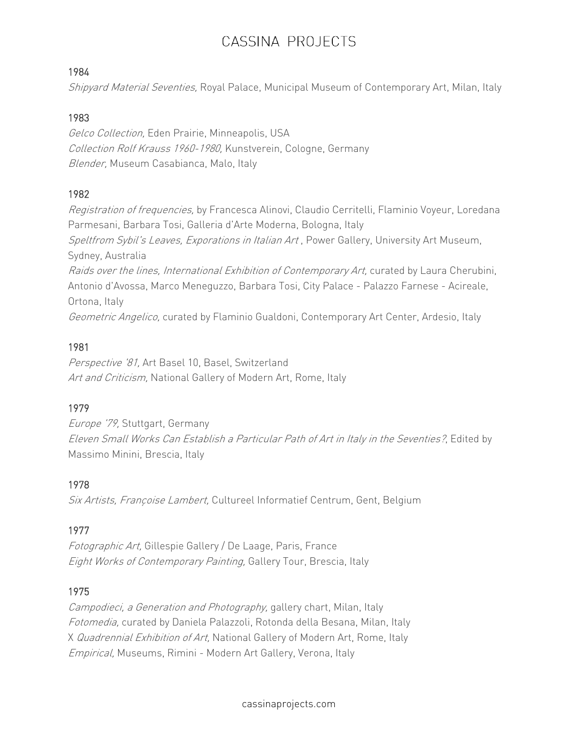#### 1984

Shipyard Material Seventies, Royal Palace, Municipal Museum of Contemporary Art, Milan, Italy

## 1983

Gelco Collection, Eden Prairie, Minneapolis, USA Collection Rolf Krauss 1960-1980, Kunstverein, Cologne, Germany Blender, Museum Casabianca, Malo, Italy

## 1982

Registration of frequencies, by Francesca Alinovi, Claudio Cerritelli, Flaminio Voyeur, Loredana Parmesani, Barbara Tosi, Galleria d'Arte Moderna, Bologna, Italy Speltfrom Sybil's Leaves, Exporations in Italian Art, Power Gallery, University Art Museum, Sydney, Australia Raids over the lines, International Exhibition of Contemporary Art, curated by Laura Cherubini, Antonio d'Avossa, Marco Meneguzzo, Barbara Tosi, City Palace - Palazzo Farnese - Acireale, Ortona, Italy Geometric Angelico, curated by Flaminio Gualdoni, Contemporary Art Center, Ardesio, Italy

## 1981

Perspective '81, Art Basel 10, Basel, Switzerland Art and Criticism, National Gallery of Modern Art, Rome, Italy

# 1979

Europe '79, Stuttgart, Germany Eleven Small Works Can Establish <sup>a</sup> Particular Path of Art in Italy in the Seventies?, Edited by Massimo Minini, Brescia, Italy

## 1978

Six Artists, Françoise Lambert, Cultureel Informatief Centrum, Gent, Belgium

# 1977

Fotographic Art, Gillespie Gallery / De Laage, Paris, France Eight Works of Contemporary Painting, Gallery Tour, Brescia, Italy

# 1975

Campodieci, a Generation and Photography, gallery chart, Milan, Italy Fotomedia, curated by Daniela Palazzoli, Rotonda della Besana, Milan, Italy X Quadrennial Exhibition of Art, National Gallery of Modern Art, Rome, Italy Empirical, Museums, Rimini - Modern Art Gallery, Verona, Italy